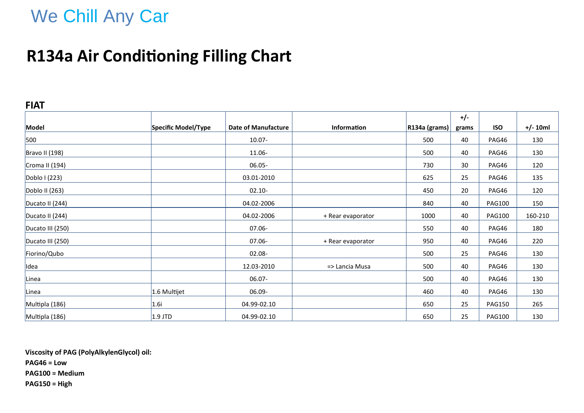# We Chill Any Car

## **R134a Air Conditioning Filling Chart**

### **FIAT**

|                  |                     |                            |                    |                      | $+/-$ |               |            |
|------------------|---------------------|----------------------------|--------------------|----------------------|-------|---------------|------------|
| Model            | Specific Model/Type | <b>Date of Manufacture</b> | <b>Information</b> | $ R134a$ (grams) $ $ | grams | <b>ISO</b>    | $+/- 10ml$ |
| 500              |                     | 10.07-                     |                    | 500                  | 40    | PAG46         | 130        |
| Bravo II (198)   |                     | 11.06-                     |                    | 500                  | 40    | PAG46         | 130        |
| Croma II (194)   |                     | $06.05 -$                  |                    | 730                  | 30    | PAG46         | 120        |
| Doblo I (223)    |                     | 03.01-2010                 |                    | 625                  | 25    | PAG46         | 135        |
| Doblo II (263)   |                     | $02.10 -$                  |                    | 450                  | 20    | PAG46         | 120        |
| Ducato II (244)  |                     | 04.02-2006                 |                    | 840                  | 40    | <b>PAG100</b> | 150        |
| Ducato II (244)  |                     | 04.02-2006                 | + Rear evaporator  | 1000                 | 40    | <b>PAG100</b> | 160-210    |
| Ducato III (250) |                     | 07.06-                     |                    | 550                  | 40    | PAG46         | 180        |
| Ducato III (250) |                     | 07.06-                     | + Rear evaporator  | 950                  | 40    | PAG46         | 220        |
| Fiorino/Qubo     |                     | 02.08-                     |                    | 500                  | 25    | PAG46         | 130        |
| Idea             |                     | 12.03-2010                 | => Lancia Musa     | 500                  | 40    | PAG46         | 130        |
| Linea            |                     | 06.07-                     |                    | 500                  | 40    | PAG46         | 130        |
| Linea            | 1.6 Multijet        | 06.09-                     |                    | 460                  | 40    | PAG46         | 130        |
| Multipla (186)   | 1.6i                | 04.99-02.10                |                    | 650                  | 25    | <b>PAG150</b> | 265        |
| Multipla (186)   | $1.9$ JTD           | 04.99-02.10                |                    | 650                  | 25    | <b>PAG100</b> | 130        |

**Viscosity of PAG (PolyAlkylenGlycol) oil: PAG46 = Low**

**PAG100 = Medium PAG150 = High**